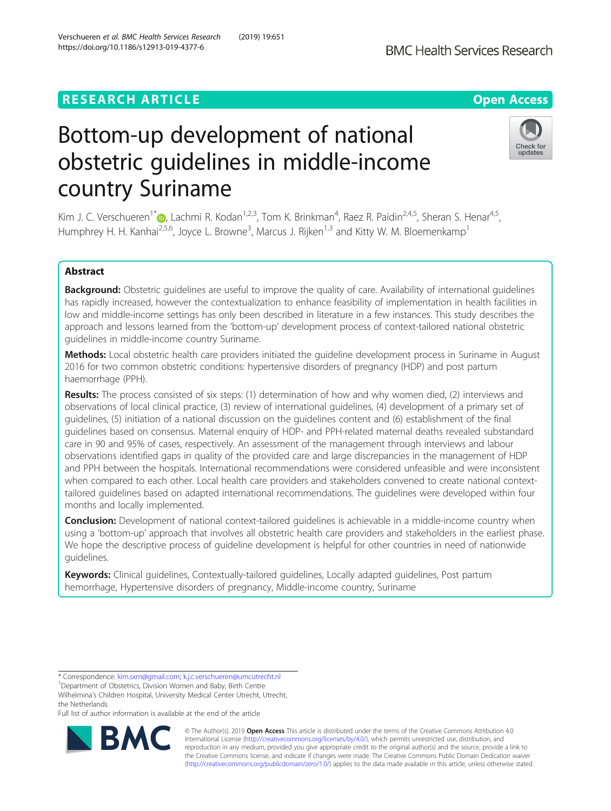# **RESEARCH ARTICLE Example 2014 12:30 The Contract of Contract ACCESS**

# Bottom-up development of national obstetric guidelines in middle-income country Suriname

Kim J. C. Verschueren<sup>1\*</sup> [,](http://orcid.org/0000-0003-1170-6132) Lachmi R. Kodan<sup>1,2,3</sup>, Tom K. Brinkman<sup>4</sup>, Raez R. Paidin<sup>2,4,5</sup>, Sheran S. Henar<sup>4,5</sup>, Humphrey H. H. Kanhai<sup>2,5,6</sup>, Joyce L. Browne<sup>3</sup>, Marcus J. Rijken<sup>1,3</sup> and Kitty W. M. Bloemenkamp<sup>1</sup>

# Abstract

Background: Obstetric guidelines are useful to improve the quality of care. Availability of international guidelines has rapidly increased, however the contextualization to enhance feasibility of implementation in health facilities in low and middle-income settings has only been described in literature in a few instances. This study describes the approach and lessons learned from the 'bottom-up' development process of context-tailored national obstetric guidelines in middle-income country Suriname.

Methods: Local obstetric health care providers initiated the guideline development process in Suriname in August 2016 for two common obstetric conditions: hypertensive disorders of pregnancy (HDP) and post partum haemorrhage (PPH).

Results: The process consisted of six steps: (1) determination of how and why women died, (2) interviews and observations of local clinical practice, (3) review of international guidelines, (4) development of a primary set of guidelines, (5) initiation of a national discussion on the guidelines content and (6) establishment of the final guidelines based on consensus. Maternal enquiry of HDP- and PPH-related maternal deaths revealed substandard care in 90 and 95% of cases, respectively. An assessment of the management through interviews and labour observations identified gaps in quality of the provided care and large discrepancies in the management of HDP and PPH between the hospitals. International recommendations were considered unfeasible and were inconsistent when compared to each other. Local health care providers and stakeholders convened to create national contexttailored guidelines based on adapted international recommendations. The guidelines were developed within four months and locally implemented.

**Conclusion:** Development of national context-tailored quidelines is achievable in a middle-income country when using a 'bottom-up' approach that involves all obstetric health care providers and stakeholders in the earliest phase. We hope the descriptive process of guideline development is helpful for other countries in need of nationwide guidelines.

Keywords: Clinical guidelines, Contextually-tailored guidelines, Locally adapted guidelines, Post partum hemorrhage, Hypertensive disorders of pregnancy, Middle-income country, Suriname



© The Author(s). 2019 **Open Access** This article is distributed under the terms of the Creative Commons Attribution 4.0 International License [\(http://creativecommons.org/licenses/by/4.0/](http://creativecommons.org/licenses/by/4.0/)), which permits unrestricted use, distribution, and reproduction in any medium, provided you give appropriate credit to the original author(s) and the source, provide a link to the Creative Commons license, and indicate if changes were made. The Creative Commons Public Domain Dedication waiver [\(http://creativecommons.org/publicdomain/zero/1.0/](http://creativecommons.org/publicdomain/zero/1.0/)) applies to the data made available in this article, unless otherwise stated.





<sup>\*</sup> Correspondence: [kim.sxm@gmail.com](mailto:kim.sxm@gmail.com); [k.j.c.verschueren@umcutrecht.nl](mailto:k.j.c.verschueren@umcutrecht.nl) <sup>1</sup>

<sup>&</sup>lt;sup>1</sup>Department of Obstetrics, Division Women and Baby, Birth Centre

Wilhelmina's Children Hospital, University Medical Center Utrecht, Utrecht, the Netherlands

Full list of author information is available at the end of the article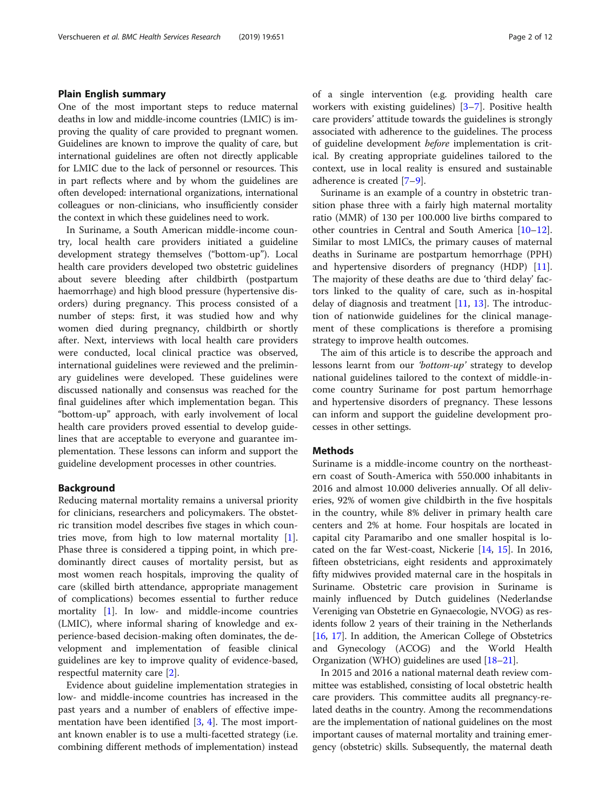# Plain English summary

One of the most important steps to reduce maternal deaths in low and middle-income countries (LMIC) is improving the quality of care provided to pregnant women. Guidelines are known to improve the quality of care, but international guidelines are often not directly applicable for LMIC due to the lack of personnel or resources. This in part reflects where and by whom the guidelines are often developed: international organizations, international colleagues or non-clinicians, who insufficiently consider the context in which these guidelines need to work.

In Suriname, a South American middle-income country, local health care providers initiated a guideline development strategy themselves ("bottom-up"). Local health care providers developed two obstetric guidelines about severe bleeding after childbirth (postpartum haemorrhage) and high blood pressure (hypertensive disorders) during pregnancy. This process consisted of a number of steps: first, it was studied how and why women died during pregnancy, childbirth or shortly after. Next, interviews with local health care providers were conducted, local clinical practice was observed, international guidelines were reviewed and the preliminary guidelines were developed. These guidelines were discussed nationally and consensus was reached for the final guidelines after which implementation began. This "bottom-up" approach, with early involvement of local health care providers proved essential to develop guidelines that are acceptable to everyone and guarantee implementation. These lessons can inform and support the guideline development processes in other countries.

# Background

Reducing maternal mortality remains a universal priority for clinicians, researchers and policymakers. The obstetric transition model describes five stages in which countries move, from high to low maternal mortality [\[1](#page-10-0)]. Phase three is considered a tipping point, in which predominantly direct causes of mortality persist, but as most women reach hospitals, improving the quality of care (skilled birth attendance, appropriate management of complications) becomes essential to further reduce mortality [\[1\]](#page-10-0). In low- and middle-income countries (LMIC), where informal sharing of knowledge and experience-based decision-making often dominates, the development and implementation of feasible clinical guidelines are key to improve quality of evidence-based, respectful maternity care [[2\]](#page-10-0).

Evidence about guideline implementation strategies in low- and middle-income countries has increased in the past years and a number of enablers of effective impementation have been identified [[3](#page-10-0), [4\]](#page-10-0). The most important known enabler is to use a multi-facetted strategy (i.e. combining different methods of implementation) instead of a single intervention (e.g. providing health care workers with existing guidelines) [[3](#page-10-0)–[7](#page-10-0)]. Positive health care providers' attitude towards the guidelines is strongly associated with adherence to the guidelines. The process of guideline development before implementation is critical. By creating appropriate guidelines tailored to the context, use in local reality is ensured and sustainable adherence is created [\[7](#page-10-0)–[9](#page-10-0)].

Suriname is an example of a country in obstetric transition phase three with a fairly high maternal mortality ratio (MMR) of 130 per 100.000 live births compared to other countries in Central and South America [[10](#page-10-0)–[12](#page-10-0)]. Similar to most LMICs, the primary causes of maternal deaths in Suriname are postpartum hemorrhage (PPH) and hypertensive disorders of pregnancy (HDP) [\[11](#page-10-0)]. The majority of these deaths are due to 'third delay' factors linked to the quality of care, such as in-hospital delay of diagnosis and treatment  $[11, 13]$  $[11, 13]$  $[11, 13]$  $[11, 13]$ . The introduction of nationwide guidelines for the clinical management of these complications is therefore a promising strategy to improve health outcomes.

The aim of this article is to describe the approach and lessons learnt from our 'bottom-up' strategy to develop national guidelines tailored to the context of middle-income country Suriname for post partum hemorrhage and hypertensive disorders of pregnancy. These lessons can inform and support the guideline development processes in other settings.

# Methods

Suriname is a middle-income country on the northeastern coast of South-America with 550.000 inhabitants in 2016 and almost 10.000 deliveries annually. Of all deliveries, 92% of women give childbirth in the five hospitals in the country, while 8% deliver in primary health care centers and 2% at home. Four hospitals are located in capital city Paramaribo and one smaller hospital is located on the far West-coast, Nickerie [\[14](#page-10-0), [15](#page-10-0)]. In 2016, fifteen obstetricians, eight residents and approximately fifty midwives provided maternal care in the hospitals in Suriname. Obstetric care provision in Suriname is mainly influenced by Dutch guidelines (Nederlandse Vereniging van Obstetrie en Gynaecologie, NVOG) as residents follow 2 years of their training in the Netherlands [[16](#page-10-0), [17\]](#page-10-0). In addition, the American College of Obstetrics and Gynecology (ACOG) and the World Health Organization (WHO) guidelines are used [\[18](#page-10-0)–[21](#page-10-0)].

In 2015 and 2016 a national maternal death review committee was established, consisting of local obstetric health care providers. This committee audits all pregnancy-related deaths in the country. Among the recommendations are the implementation of national guidelines on the most important causes of maternal mortality and training emergency (obstetric) skills. Subsequently, the maternal death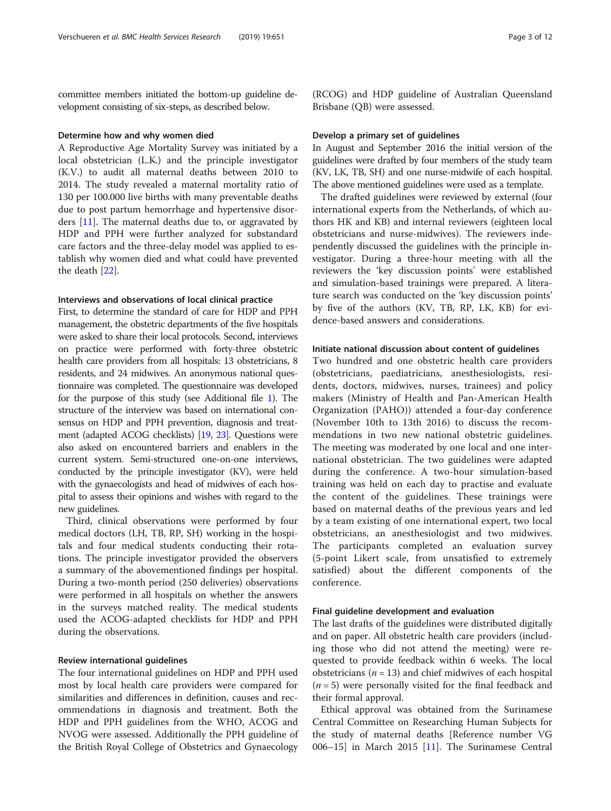committee members initiated the bottom-up guideline development consisting of six-steps, as described below.

## Determine how and why women died

A Reproductive Age Mortality Survey was initiated by a local obstetrician (L.K.) and the principle investigator (K.V.) to audit all maternal deaths between 2010 to 2014. The study revealed a maternal mortality ratio of 130 per 100.000 live births with many preventable deaths due to post partum hemorrhage and hypertensive disorders [[11](#page-10-0)]. The maternal deaths due to, or aggravated by HDP and PPH were further analyzed for substandard care factors and the three-delay model was applied to establish why women died and what could have prevented the death [\[22\]](#page-10-0).

#### Interviews and observations of local clinical practice

First, to determine the standard of care for HDP and PPH management, the obstetric departments of the five hospitals were asked to share their local protocols. Second, interviews on practice were performed with forty-three obstetric health care providers from all hospitals: 13 obstetricians, 8 residents, and 24 midwives. An anonymous national questionnaire was completed. The questionnaire was developed for the purpose of this study (see Additional file [1](#page-9-0)). The structure of the interview was based on international consensus on HDP and PPH prevention, diagnosis and treatment (adapted ACOG checklists) [\[19](#page-10-0), [23](#page-10-0)]. Questions were also asked on encountered barriers and enablers in the current system. Semi-structured one-on-one interviews, conducted by the principle investigator (KV), were held with the gynaecologists and head of midwives of each hospital to assess their opinions and wishes with regard to the new guidelines.

Third, clinical observations were performed by four medical doctors (LH, TB, RP, SH) working in the hospitals and four medical students conducting their rotations. The principle investigator provided the observers a summary of the abovementioned findings per hospital. During a two-month period (250 deliveries) observations were performed in all hospitals on whether the answers in the surveys matched reality. The medical students used the ACOG-adapted checklists for HDP and PPH during the observations.

# Review international guidelines

The four international guidelines on HDP and PPH used most by local health care providers were compared for similarities and differences in definition, causes and recommendations in diagnosis and treatment. Both the HDP and PPH guidelines from the WHO, ACOG and NVOG were assessed. Additionally the PPH guideline of the British Royal College of Obstetrics and Gynaecology (RCOG) and HDP guideline of Australian Queensland Brisbane (QB) were assessed.

# Develop a primary set of guidelines

In August and September 2016 the initial version of the guidelines were drafted by four members of the study team (KV, LK, TB, SH) and one nurse-midwife of each hospital. The above mentioned guidelines were used as a template.

The drafted guidelines were reviewed by external (four international experts from the Netherlands, of which authors HK and KB) and internal reviewers (eighteen local obstetricians and nurse-midwives). The reviewers independently discussed the guidelines with the principle investigator. During a three-hour meeting with all the reviewers the 'key discussion points' were established and simulation-based trainings were prepared. A literature search was conducted on the 'key discussion points' by five of the authors (KV, TB, RP, LK, KB) for evidence-based answers and considerations.

# Initiate national discussion about content of guidelines

Two hundred and one obstetric health care providers (obstetricians, paediatricians, anesthesiologists, residents, doctors, midwives, nurses, trainees) and policy makers (Ministry of Health and Pan-American Health Organization (PAHO)) attended a four-day conference (November 10th to 13th 2016) to discuss the recommendations in two new national obstetric guidelines. The meeting was moderated by one local and one international obstetrician. The two guidelines were adapted during the conference. A two-hour simulation-based training was held on each day to practise and evaluate the content of the guidelines. These trainings were based on maternal deaths of the previous years and led by a team existing of one international expert, two local obstetricians, an anesthesiologist and two midwives. The participants completed an evaluation survey (5-point Likert scale, from unsatisfied to extremely satisfied) about the different components of the conference.

#### Final guideline development and evaluation

The last drafts of the guidelines were distributed digitally and on paper. All obstetric health care providers (including those who did not attend the meeting) were requested to provide feedback within 6 weeks. The local obstetricians ( $n = 13$ ) and chief midwives of each hospital  $(n=5)$  were personally visited for the final feedback and their formal approval.

Ethical approval was obtained from the Surinamese Central Committee on Researching Human Subjects for the study of maternal deaths [Reference number VG 006–15] in March 2015 [\[11](#page-10-0)]. The Surinamese Central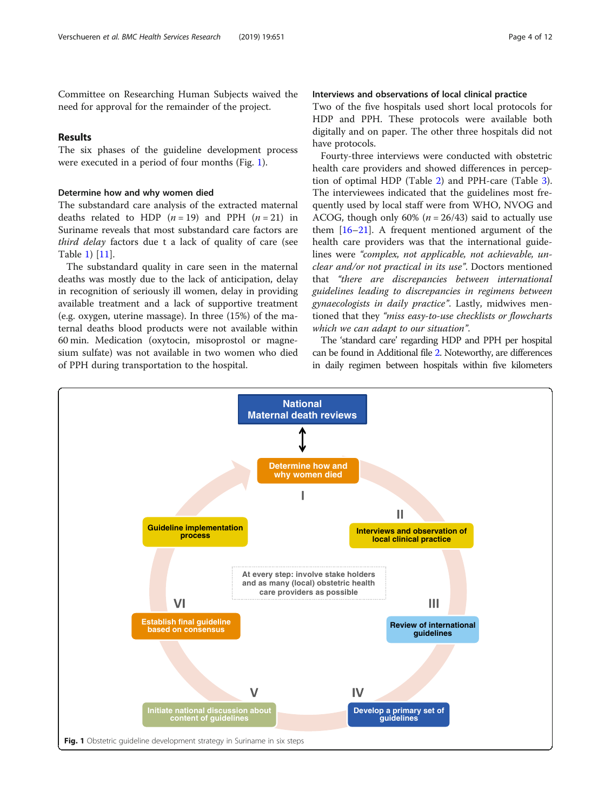Committee on Researching Human Subjects waived the need for approval for the remainder of the project.

#### Results

The six phases of the guideline development process were executed in a period of four months (Fig. 1).

#### Determine how and why women died

The substandard care analysis of the extracted maternal deaths related to HDP  $(n = 19)$  and PPH  $(n = 21)$  in Suriname reveals that most substandard care factors are third delay factors due t a lack of quality of care (see Table [1\)](#page-4-0) [[11\]](#page-10-0).

The substandard quality in care seen in the maternal deaths was mostly due to the lack of anticipation, delay in recognition of seriously ill women, delay in providing available treatment and a lack of supportive treatment (e.g. oxygen, uterine massage). In three (15%) of the maternal deaths blood products were not available within 60 min. Medication (oxytocin, misoprostol or magnesium sulfate) was not available in two women who died of PPH during transportation to the hospital.

# Interviews and observations of local clinical practice

Two of the five hospitals used short local protocols for HDP and PPH. These protocols were available both digitally and on paper. The other three hospitals did not have protocols.

Fourty-three interviews were conducted with obstetric health care providers and showed differences in perception of optimal HDP (Table [2](#page-5-0)) and PPH-care (Table [3](#page-5-0)). The interviewees indicated that the guidelines most frequently used by local staff were from WHO, NVOG and ACOG, though only 60% ( $n = 26/43$ ) said to actually use them [[16](#page-10-0)–[21](#page-10-0)]. A frequent mentioned argument of the health care providers was that the international guidelines were "complex, not applicable, not achievable, unclear and/or not practical in its use". Doctors mentioned that "there are discrepancies between international guidelines leading to discrepancies in regimens between gynaecologists in daily practice". Lastly, midwives mentioned that they "miss easy-to-use checklists or flowcharts which we can adapt to our situation".

The 'standard care' regarding HDP and PPH per hospital can be found in Additional file [2.](#page-9-0) Noteworthy, are differences in daily regimen between hospitals within five kilometers

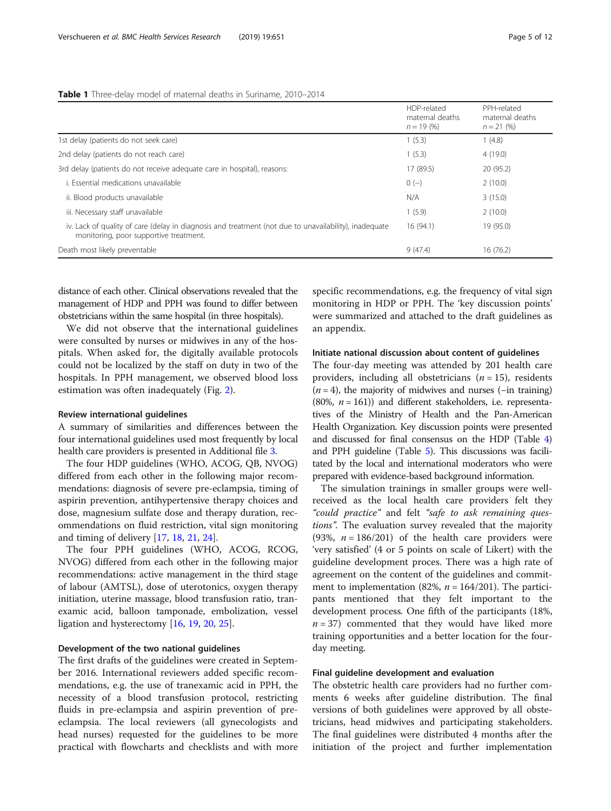#### <span id="page-4-0"></span>Table 1 Three-delay model of maternal deaths in Suriname, 2010–2014

|                                                                                                                                                 | HDP-related<br>maternal deaths<br>$n = 19(%)$ | PPH-related<br>maternal deaths<br>$n = 21(96)$ |
|-------------------------------------------------------------------------------------------------------------------------------------------------|-----------------------------------------------|------------------------------------------------|
| 1st delay (patients do not seek care)                                                                                                           | 1(5.3)                                        | (4.8)                                          |
| 2nd delay (patients do not reach care)                                                                                                          | 1(5.3)                                        | 4(19.0)                                        |
| 3rd delay (patients do not receive adequate care in hospital), reasons:                                                                         | 17 (89.5)                                     | 20 (95.2)                                      |
| i. Essential medications unavailable                                                                                                            | $0(-)$                                        | 2(10.0)                                        |
| ii. Blood products unavailable                                                                                                                  | N/A                                           | 3(15.0)                                        |
| iii. Necessary staff unavailable                                                                                                                | 1(5.9)                                        | 2(10.0)                                        |
| iv. Lack of quality of care (delay in diagnosis and treatment (not due to unavailability), inadequate<br>monitoring, poor supportive treatment. | 16(94.1)                                      | 19 (95.0)                                      |
| Death most likely preventable                                                                                                                   | 9(47.4)                                       | 16(76.2)                                       |

distance of each other. Clinical observations revealed that the management of HDP and PPH was found to differ between obstetricians within the same hospital (in three hospitals).

We did not observe that the international guidelines were consulted by nurses or midwives in any of the hospitals. When asked for, the digitally available protocols could not be localized by the staff on duty in two of the hospitals. In PPH management, we observed blood loss estimation was often inadequately (Fig. [2](#page-9-0)).

#### Review international guidelines

A summary of similarities and differences between the four international guidelines used most frequently by local health care providers is presented in Additional file [3](#page-9-0).

The four HDP guidelines (WHO, ACOG, QB, NVOG) differed from each other in the following major recommendations: diagnosis of severe pre-eclampsia, timing of aspirin prevention, antihypertensive therapy choices and dose, magnesium sulfate dose and therapy duration, recommendations on fluid restriction, vital sign monitoring and timing of delivery [[17,](#page-10-0) [18,](#page-10-0) [21,](#page-10-0) [24](#page-10-0)].

The four PPH guidelines (WHO, ACOG, RCOG, NVOG) differed from each other in the following major recommendations: active management in the third stage of labour (AMTSL), dose of uterotonics, oxygen therapy initiation, uterine massage, blood transfusion ratio, tranexamic acid, balloon tamponade, embolization, vessel ligation and hysterectomy [[16](#page-10-0), [19](#page-10-0), [20](#page-10-0), [25](#page-10-0)].

# Development of the two national guidelines

The first drafts of the guidelines were created in September 2016. International reviewers added specific recommendations, e.g. the use of tranexamic acid in PPH, the necessity of a blood transfusion protocol, restricting fluids in pre-eclampsia and aspirin prevention of preeclampsia. The local reviewers (all gynecologists and head nurses) requested for the guidelines to be more practical with flowcharts and checklists and with more

specific recommendations, e.g. the frequency of vital sign monitoring in HDP or PPH. The 'key discussion points' were summarized and attached to the draft guidelines as an appendix.

#### Initiate national discussion about content of guidelines

The four-day meeting was attended by 201 health care providers, including all obstetricians  $(n = 15)$ , residents  $(n = 4)$ , the majority of midwives and nurses (–in training) (80%,  $n = 161$ )) and different stakeholders, i.e. representatives of the Ministry of Health and the Pan-American Health Organization. Key discussion points were presented and discussed for final consensus on the HDP (Table [4](#page-6-0)) and PPH guideline (Table [5](#page-7-0)). This discussions was facilitated by the local and international moderators who were prepared with evidence-based background information.

The simulation trainings in smaller groups were wellreceived as the local health care providers felt they "could practice" and felt "safe to ask remaining questions". The evaluation survey revealed that the majority (93%,  $n = 186/201$ ) of the health care providers were 'very satisfied' (4 or 5 points on scale of Likert) with the guideline development proces. There was a high rate of agreement on the content of the guidelines and commitment to implementation (82%,  $n = 164/201$ ). The participants mentioned that they felt important to the development process. One fifth of the participants (18%,  $n = 37$ ) commented that they would have liked more training opportunities and a better location for the fourday meeting.

# Final guideline development and evaluation

The obstetric health care providers had no further comments 6 weeks after guideline distribution. The final versions of both guidelines were approved by all obstetricians, head midwives and participating stakeholders. The final guidelines were distributed 4 months after the initiation of the project and further implementation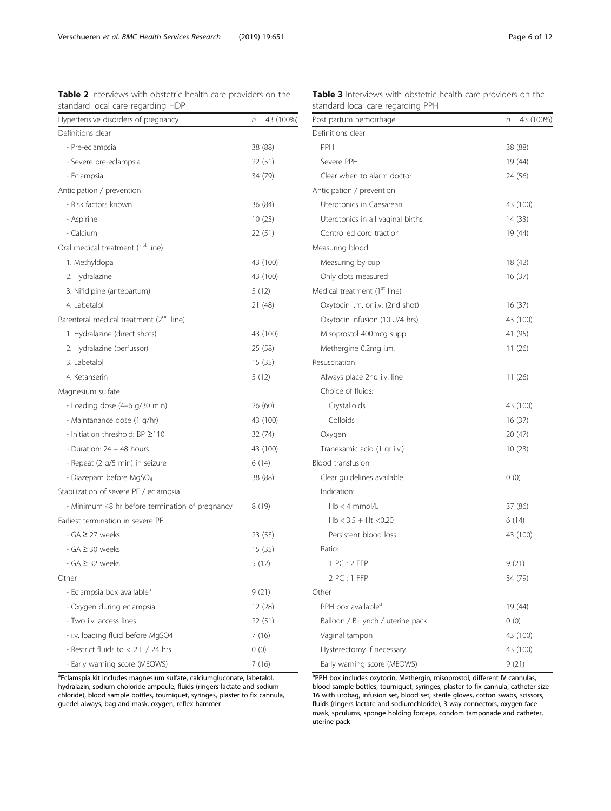<span id="page-5-0"></span>

| Table 2 Interviews with obstetric health care providers on the |  |
|----------------------------------------------------------------|--|
| standard local care regarding HDP                              |  |

Hypertensive disorders of pregnancy  $n = 43$  (100%) Definitions clear - Pre-eclampsia 38 (88) - Severe pre-eclampsia 22 (51) - Eclampsia 34 (79) Anticipation / prevention - Risk factors known 36 (84) - Aspirine 10 (23) - Calcium 22 (51) Oral medical treatment (1<sup>st</sup> line) 1. Methyldopa 43 (100) 2. Hydralazine 43 (100) 3. Nifidipine (antepartum) 5 (12) 4. Labetalol 21 (48) Parenteral medical treatment (2<sup>nd</sup> line) 1. Hydralazine (direct shots) 43 (100) 2. Hydralazine (perfussor) 25 (58) 3. Labetalol 15 (35) 4. Ketanserin 5 (12) Magnesium sulfate - Loading dose (4–6 g/30 min) 26 (60) - Maintanance dose (1 g/hr) 43 (100) - Initiation threshold: BP ≥110 32 (74) - Duration: 24 – 48 hours 43 (100)  $-$  Repeat (2 g/5 min) in seizure 6 (14) - Diazepam before MgSO<sub>4</sub> 38 (88) Stabilization of severe PE / eclampsia - Minimum 48 hr before termination of pregnancy  $8(19)$ Earliest termination in severe PE  $-GA \geq 27$  weeks 23 (53)  $-GA \ge 30$  weeks 15 (35)  $-GA \geq 32$  weeks 5 (12) Other  $-$  Eclampsia box available<sup>a</sup> 9 (21) - Oxygen during eclampsia 12 (28) - Two i.v. access lines 22 (51) - i.v. loading fluid before MgSO4 7 (16) - Restrict fluids to  $< 2 L / 24$  hrs 0 (0) - Early warning score (MEOWS) 7 (16)

<sup>a</sup>Eclamspia kit includes magnesium sulfate, calciumgluconate, labetalol, hydralazin, sodium choloride ampoule, fluids (ringers lactate and sodium chloride), blood sample bottles, tourniquet, syringes, plaster to fix cannula, guedel aiways, bag and mask, oxygen, reflex hammer

Table 3 Interviews with obstetric health care providers on the standard local care regarding PPH

| Post partum hemorrhage                   | $n = 43(100\%)$ |
|------------------------------------------|-----------------|
| Definitions clear                        |                 |
| PPH                                      | 38 (88)         |
| Severe PPH                               | 19 (44)         |
| Clear when to alarm doctor               | 24 (56)         |
| Anticipation / prevention                |                 |
| Uterotonics in Caesarean                 | 43 (100)        |
| Uterotonics in all vaginal births        | 14 (33)         |
| Controlled cord traction                 | 19 (44)         |
| Measuring blood                          |                 |
| Measuring by cup                         | 18 (42)         |
| Only clots measured                      | 16(37)          |
| Medical treatment (1 <sup>st</sup> line) |                 |
| Oxytocin i.m. or i.v. (2nd shot)         | 16 (37)         |
| Oxytocin infusion (10IU/4 hrs)           | 43 (100)        |
| Misoprostol 400mcg supp                  | 41 (95)         |
| Methergine 0.2mg i.m.                    | 11(26)          |
| Resuscitation                            |                 |
| Always place 2nd i.v. line               | 11(26)          |
| Choice of fluids:                        |                 |
| Crystalloids                             | 43 (100)        |
| Colloids                                 | 16(37)          |
| Oxygen                                   | 20 (47)         |
| Tranexamic acid (1 gr i.v.)              | 10(23)          |
| Blood transfusion                        |                 |
| Clear guidelines available               | 0(0)            |
| Indication:                              |                 |
| $Hb < 4$ mmol/L                          | 37 (86)         |
| $Hb < 3.5 + Ht < 0.20$                   | 6(14)           |
| Persistent blood loss                    | 43 (100)        |
| Ratio:                                   |                 |
| 1 PC: 2 FFP                              | 9 (21)          |
| 2 PC: 1 FFP                              | 34 (79)         |
| Other                                    |                 |
| PPH box available <sup>a</sup>           | 19 (44)         |
| Balloon / B-Lynch / uterine pack         | 0(0)            |
| Vaginal tampon                           | 43 (100)        |
| Hysterectomy if necessary                | 43 (100)        |
| Early warning score (MEOWS)              | 9(21)           |

<sup>a</sup>PPH box includes oxytocin, Methergin, misoprostol, different IV cannulas, blood sample bottles, tourniquet, syringes, plaster to fix cannula, catheter size 16 with urobag, infusion set, blood set, sterile gloves, cotton swabs, scissors, fluids (ringers lactate and sodiumchloride), 3-way connectors, oxygen face mask, spculums, sponge holding forceps, condom tamponade and catheter, uterine pack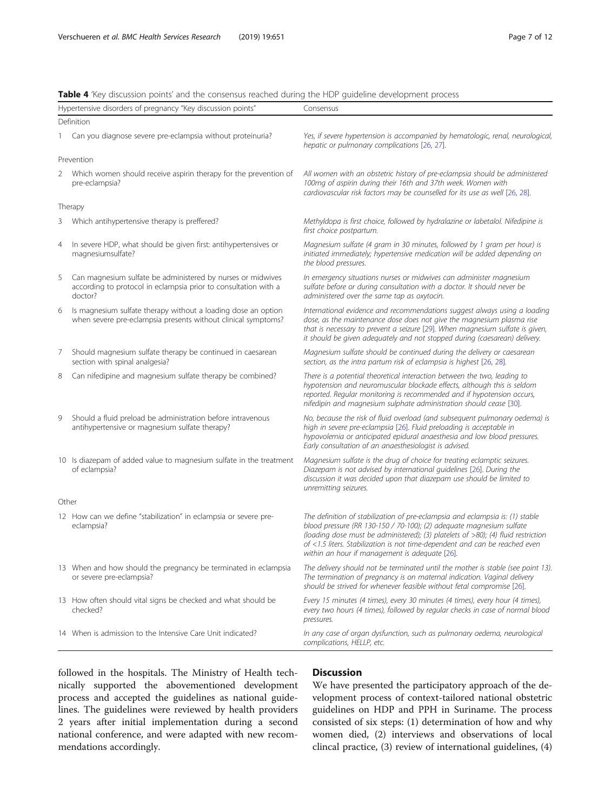<span id="page-6-0"></span>Table 4 'Key discussion points' and the consensus reached during the HDP guideline development process

| Hypertensive disorders of pregnancy "Key discussion points"<br>Consensus |                                                                                                                                           |                                                                                                                                                                                                                                                                                                                                                                             |  |  |  |  |
|--------------------------------------------------------------------------|-------------------------------------------------------------------------------------------------------------------------------------------|-----------------------------------------------------------------------------------------------------------------------------------------------------------------------------------------------------------------------------------------------------------------------------------------------------------------------------------------------------------------------------|--|--|--|--|
|                                                                          | Definition                                                                                                                                |                                                                                                                                                                                                                                                                                                                                                                             |  |  |  |  |
|                                                                          | Can you diagnose severe pre-eclampsia without proteinuria?                                                                                | Yes, if severe hypertension is accompanied by hematologic, renal, neurological,<br>hepatic or pulmonary complications [26, 27].                                                                                                                                                                                                                                             |  |  |  |  |
|                                                                          | Prevention                                                                                                                                |                                                                                                                                                                                                                                                                                                                                                                             |  |  |  |  |
| 2                                                                        | Which women should receive aspirin therapy for the prevention of<br>pre-eclampsia?                                                        | All women with an obstetric history of pre-eclampsia should be administered<br>100mg of aspirin during their 16th and 37th week. Women with<br>cardiovascular risk factors may be counselled for its use as well [26, 28].                                                                                                                                                  |  |  |  |  |
|                                                                          | Therapy                                                                                                                                   |                                                                                                                                                                                                                                                                                                                                                                             |  |  |  |  |
| 3                                                                        | Which antihypertensive therapy is preffered?                                                                                              | Methyldopa is first choice, followed by hydralazine or labetalol. Nifedipine is<br>first choice postpartum.                                                                                                                                                                                                                                                                 |  |  |  |  |
| 4                                                                        | In severe HDP, what should be given first: antihypertensives or<br>magnesiumsulfate?                                                      | Magnesium sulfate (4 gram in 30 minutes, followed by 1 gram per hour) is<br>initiated immediately; hypertensive medication will be added depending on<br>the blood pressures.                                                                                                                                                                                               |  |  |  |  |
| 5                                                                        | Can magnesium sulfate be administered by nurses or midwives<br>according to protocol in eclampsia prior to consultation with a<br>doctor? | In emergency situations nurses or midwives can administer magnesium<br>sulfate before or during consultation with a doctor. It should never be<br>administered over the same tap as oxytocin.                                                                                                                                                                               |  |  |  |  |
| 6                                                                        | Is magnesium sulfate therapy without a loading dose an option<br>when severe pre-eclampsia presents without clinical symptoms?            | International evidence and recommendations suggest always using a loading<br>dose, as the maintenance dose does not give the magnesium plasma rise<br>that is necessary to prevent a seizure [29]. When magnesium sulfate is given,<br>it should be given adequately and not stopped during (caesarean) delivery.                                                           |  |  |  |  |
| 7                                                                        | Should magnesium sulfate therapy be continued in caesarean<br>section with spinal analgesia?                                              | Magnesium sulfate should be continued during the delivery or caesarean<br>section, as the intra partum risk of eclampsia is highest [26, 28].                                                                                                                                                                                                                               |  |  |  |  |
| 8                                                                        | Can nifedipine and magnesium sulfate therapy be combined?                                                                                 | There is a potential theoretical interaction between the two, leading to<br>hypotension and neuromuscular blockade effects, although this is seldom<br>reported. Regular monitoring is recommended and if hypotension occurs,<br>nifedipin and magnesium sulphate administration should cease [30].                                                                         |  |  |  |  |
| 9                                                                        | Should a fluid preload be administration before intravenous<br>antihypertensive or magnesium sulfate therapy?                             | No, because the risk of fluid overload (and subsequent pulmonary oedema) is<br>high in severe pre-eclampsia [26]. Fluid preloading is acceptable in<br>hypovolemia or anticipated epidural anaesthesia and low blood pressures.<br>Early consultation of an anaesthesiologist is advised.                                                                                   |  |  |  |  |
|                                                                          | 10 Is diazepam of added value to magnesium sulfate in the treatment<br>of eclampsia?                                                      | Magnesium sulfate is the drug of choice for treating eclamptic seizures.<br>Diazepam is not advised by international guidelines [26]. During the<br>discussion it was decided upon that diazepam use should be limited to<br>unremitting seizures.                                                                                                                          |  |  |  |  |
|                                                                          | Other                                                                                                                                     |                                                                                                                                                                                                                                                                                                                                                                             |  |  |  |  |
|                                                                          | 12 How can we define "stabilization" in eclampsia or severe pre-<br>eclampsia?                                                            | The definition of stabilization of pre-eclampsia and eclampsia is: (1) stable<br>blood pressure (RR 130-150 / 70-100); (2) adequate magnesium sulfate<br>(loading dose must be administered); (3) platelets of >80); (4) fluid restriction<br>of <1.5 liters. Stabilization is not time-dependent and can be reached even<br>within an hour if management is adequate [26]. |  |  |  |  |
|                                                                          | 13 When and how should the pregnancy be terminated in eclampsia<br>or severe pre-eclampsia?                                               | The delivery should not be terminated until the mother is stable (see point 13).<br>The termination of pregnancy is on maternal indication. Vaginal delivery<br>should be strived for whenever feasible without fetal compromise [26].                                                                                                                                      |  |  |  |  |
|                                                                          | 13 How often should vital signs be checked and what should be<br>checked?                                                                 | Every 15 minutes (4 times), every 30 minutes (4 times), every hour (4 times),<br>every two hours (4 times), followed by regular checks in case of normal blood<br>pressures.                                                                                                                                                                                                |  |  |  |  |
|                                                                          | 14 When is admission to the Intensive Care Unit indicated?                                                                                | In any case of organ dysfunction, such as pulmonary oedema, neurological<br>complications, HELLP, etc.                                                                                                                                                                                                                                                                      |  |  |  |  |

followed in the hospitals. The Ministry of Health technically supported the abovementioned development process and accepted the guidelines as national guidelines. The guidelines were reviewed by health providers 2 years after initial implementation during a second national conference, and were adapted with new recommendations accordingly.

# **Discussion**

We have presented the participatory approach of the development process of context-tailored national obstetric guidelines on HDP and PPH in Suriname. The process consisted of six steps: (1) determination of how and why women died, (2) interviews and observations of local clincal practice, (3) review of international guidelines, (4)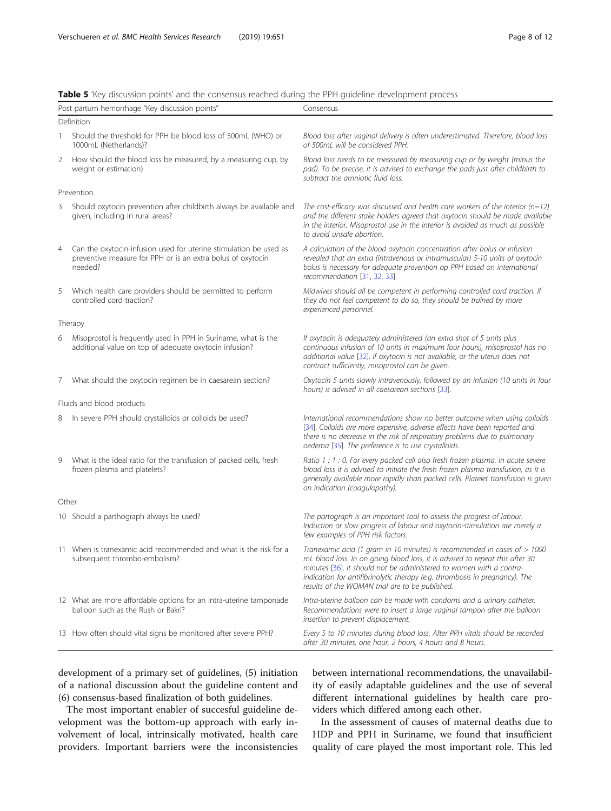<span id="page-7-0"></span>

|       | Post partum hemorrhage "Key discussion points"                                                                                              | Consensus                                                                                                                                                                                                                                                                                                                                                           |
|-------|---------------------------------------------------------------------------------------------------------------------------------------------|---------------------------------------------------------------------------------------------------------------------------------------------------------------------------------------------------------------------------------------------------------------------------------------------------------------------------------------------------------------------|
|       | Definition                                                                                                                                  |                                                                                                                                                                                                                                                                                                                                                                     |
| 1     | Should the threshold for PPH be blood loss of 500mL (WHO) or<br>1000mL (Netherlands)?                                                       | Blood loss after vaginal delivery is often underestimated. Therefore, blood loss<br>of 500mL will be considered PPH.                                                                                                                                                                                                                                                |
| 2     | How should the blood loss be measured, by a measuring cup, by<br>weight or estimation)                                                      | Blood loss needs to be measured by measuring cup or by weight (minus the<br>pad). To be precise, it is advised to exchange the pads just after childbirth to<br>subtract the amniotic fluid loss.                                                                                                                                                                   |
|       | Prevention                                                                                                                                  |                                                                                                                                                                                                                                                                                                                                                                     |
| 3     | Should oxytocin prevention after childbirth always be available and<br>given, including in rural areas?                                     | The cost-efficacy was discussed and health care workers of the interior ( $n=12$ )<br>and the different stake holders agreed that oxytocin should be made available<br>in the interior. Misoprostol use in the interior is avoided as much as possible<br>to avoid unsafe abortion.                                                                                 |
| 4     | Can the oxytocin-infusion used for uterine stimulation be used as<br>preventive measure for PPH or is an extra bolus of oxytocin<br>needed? | A calculation of the blood oxytocin concentration after bolus or infusion<br>revealed that an extra (intravenous or intramuscular) 5-10 units of oxytocin<br>bolus is necessary for adequate prevention op PPH based on international<br>recommendation [31, 32, 33].                                                                                               |
| 5     | Which health care providers should be permitted to perform<br>controlled cord traction?                                                     | Midwives should all be competent in performing controlled cord traction. If<br>they do not feel competent to do so, they should be trained by more<br>experienced personnel.                                                                                                                                                                                        |
|       | Therapy                                                                                                                                     |                                                                                                                                                                                                                                                                                                                                                                     |
| 6     | Misoprostol is frequently used in PPH in Suriname, what is the<br>additional value on top of adequate oxytocin infusion?                    | If oxytocin is adequately administered (an extra shot of 5 units plus<br>continuous infusion of 10 units in maximum four hours), misoprostol has no<br>additional value [32]. If oxytocin is not available, or the uterus does not<br>contract sufficiently, misoprostol can be given.                                                                              |
| 7.    | What should the oxytocin regimen be in caesarean section?                                                                                   | Oxytocin 5 units slowly intravenously, followed by an infusion (10 units in four<br>hours) is advised in all caesarean sections [33].                                                                                                                                                                                                                               |
|       | Fluids and blood products                                                                                                                   |                                                                                                                                                                                                                                                                                                                                                                     |
| 8     | In severe PPH should crystalloids or colloids be used?                                                                                      | International recommendations show no better outcome when using colloids<br>[34]. Colloids are more expensive, adverse effects have been reported and<br>there is no decrease in the risk of respiratory problems due to pulmonary<br>oedema [35]. The preference is to use crystalloids.                                                                           |
| 9     | What is the ideal ratio for the transfusion of packed cells, fresh<br>frozen plasma and platelets?                                          | Ratio 1 : 1 : 0. For every packed cell also fresh frozen plasma. In acute severe<br>blood loss it is advised to initiate the fresh frozen plasma transfusion, as it is<br>generally available more rapidly than packed cells. Platelet transfusion is given<br>on indication (coagulopathy).                                                                        |
| Other |                                                                                                                                             |                                                                                                                                                                                                                                                                                                                                                                     |
|       | 10 Should a parthograph always be used?                                                                                                     | The partograph is an important tool to assess the progress of labour.<br>Induction or slow progress of labour and oxytocin-stimulation are merely a<br>few examples of PPH risk factors.                                                                                                                                                                            |
|       | 11 When is tranexamic acid recommended and what is the risk for a<br>subsequent thrombo-embolism?                                           | Tranexamic acid (1 gram in 10 minutes) is recommended in cases of $> 1000$<br>mL blood loss. In on going blood loss, it is advised to repeat this after 30<br>minutes [36]. It should not be administered to women with a contra-<br>indication for antifibrinolytic therapy (e.g. thrombosis in pregnancy). The<br>results of the WOMAN trial are to be published. |
|       | 12 What are more affordable options for an intra-uterine tamponade<br>balloon such as the Rush or Bakri?                                    | Intra-uterine balloon can be made with condoms and a urinary catheter.<br>Recommendations were to insert a large vaginal tampon after the balloon<br>insertion to prevent displacement.                                                                                                                                                                             |
|       | 13 How often should vital signs be monitored after severe PPH?                                                                              | Every 5 to 10 minutes during blood loss. After PPH vitals should be recorded<br>after 30 minutes, one hour, 2 hours, 4 hours and 8 hours.                                                                                                                                                                                                                           |

development of a primary set of guidelines, (5) initiation of a national discussion about the guideline content and (6) consensus-based finalization of both guidelines.

The most important enabler of succesful guideline development was the bottom-up approach with early involvement of local, intrinsically motivated, health care providers. Important barriers were the inconsistencies between international recommendations, the unavailability of easily adaptable guidelines and the use of several different international guidelines by health care providers which differed among each other.

In the assessment of causes of maternal deaths due to HDP and PPH in Suriname, we found that insufficient quality of care played the most important role. This led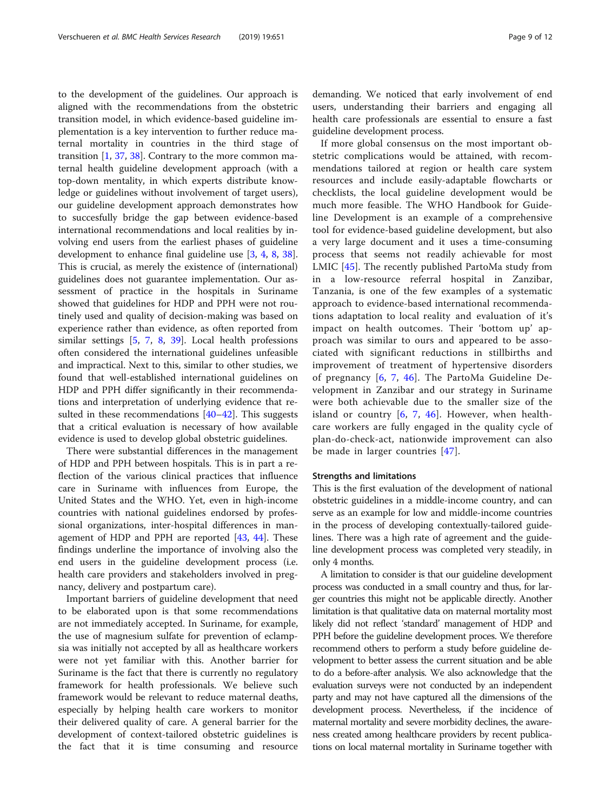to the development of the guidelines. Our approach is aligned with the recommendations from the obstetric transition model, in which evidence-based guideline implementation is a key intervention to further reduce maternal mortality in countries in the third stage of transition [[1,](#page-10-0) [37,](#page-10-0) [38\]](#page-10-0). Contrary to the more common maternal health guideline development approach (with a top-down mentality, in which experts distribute knowledge or guidelines without involvement of target users), our guideline development approach demonstrates how to succesfully bridge the gap between evidence-based international recommendations and local realities by involving end users from the earliest phases of guideline development to enhance final guideline use [[3,](#page-10-0) [4](#page-10-0), [8,](#page-10-0) [38](#page-10-0)]. This is crucial, as merely the existence of (international) guidelines does not guarantee implementation. Our assessment of practice in the hospitals in Suriname showed that guidelines for HDP and PPH were not routinely used and quality of decision-making was based on experience rather than evidence, as often reported from similar settings [\[5](#page-10-0), [7,](#page-10-0) [8](#page-10-0), [39](#page-10-0)]. Local health professions often considered the international guidelines unfeasible and impractical. Next to this, similar to other studies, we found that well-established international guidelines on HDP and PPH differ significantly in their recommendations and interpretation of underlying evidence that resulted in these recommendations [[40](#page-10-0)–[42](#page-10-0)]. This suggests that a critical evaluation is necessary of how available evidence is used to develop global obstetric guidelines.

There were substantial differences in the management of HDP and PPH between hospitals. This is in part a reflection of the various clinical practices that influence care in Suriname with influences from Europe, the United States and the WHO. Yet, even in high-income countries with national guidelines endorsed by professional organizations, inter-hospital differences in management of HDP and PPH are reported [\[43](#page-10-0), [44\]](#page-10-0). These findings underline the importance of involving also the end users in the guideline development process (i.e. health care providers and stakeholders involved in pregnancy, delivery and postpartum care).

Important barriers of guideline development that need to be elaborated upon is that some recommendations are not immediately accepted. In Suriname, for example, the use of magnesium sulfate for prevention of eclampsia was initially not accepted by all as healthcare workers were not yet familiar with this. Another barrier for Suriname is the fact that there is currently no regulatory framework for health professionals. We believe such framework would be relevant to reduce maternal deaths, especially by helping health care workers to monitor their delivered quality of care. A general barrier for the development of context-tailored obstetric guidelines is the fact that it is time consuming and resource

demanding. We noticed that early involvement of end users, understanding their barriers and engaging all health care professionals are essential to ensure a fast guideline development process.

If more global consensus on the most important obstetric complications would be attained, with recommendations tailored at region or health care system resources and include easily-adaptable flowcharts or checklists, the local guideline development would be much more feasible. The WHO Handbook for Guideline Development is an example of a comprehensive tool for evidence-based guideline development, but also a very large document and it uses a time-consuming process that seems not readily achievable for most LMIC [[45](#page-11-0)]. The recently published PartoMa study from in a low-resource referral hospital in Zanzibar, Tanzania, is one of the few examples of a systematic approach to evidence-based international recommendations adaptation to local reality and evaluation of it's impact on health outcomes. Their 'bottom up' approach was similar to ours and appeared to be associated with significant reductions in stillbirths and improvement of treatment of hypertensive disorders of pregnancy [\[6,](#page-10-0) [7,](#page-10-0) [46\]](#page-11-0). The PartoMa Guideline Development in Zanzibar and our strategy in Suriname were both achievable due to the smaller size of the island or country  $[6, 7, 46]$  $[6, 7, 46]$  $[6, 7, 46]$  $[6, 7, 46]$  $[6, 7, 46]$  $[6, 7, 46]$  $[6, 7, 46]$ . However, when healthcare workers are fully engaged in the quality cycle of plan-do-check-act, nationwide improvement can also be made in larger countries [[47](#page-11-0)].

#### Strengths and limitations

This is the first evaluation of the development of national obstetric guidelines in a middle-income country, and can serve as an example for low and middle-income countries in the process of developing contextually-tailored guidelines. There was a high rate of agreement and the guideline development process was completed very steadily, in only 4 months.

A limitation to consider is that our guideline development process was conducted in a small country and thus, for larger countries this might not be applicable directly. Another limitation is that qualitative data on maternal mortality most likely did not reflect 'standard' management of HDP and PPH before the guideline development proces. We therefore recommend others to perform a study before guideline development to better assess the current situation and be able to do a before-after analysis. We also acknowledge that the evaluation surveys were not conducted by an independent party and may not have captured all the dimensions of the development process. Nevertheless, if the incidence of maternal mortality and severe morbidity declines, the awareness created among healthcare providers by recent publications on local maternal mortality in Suriname together with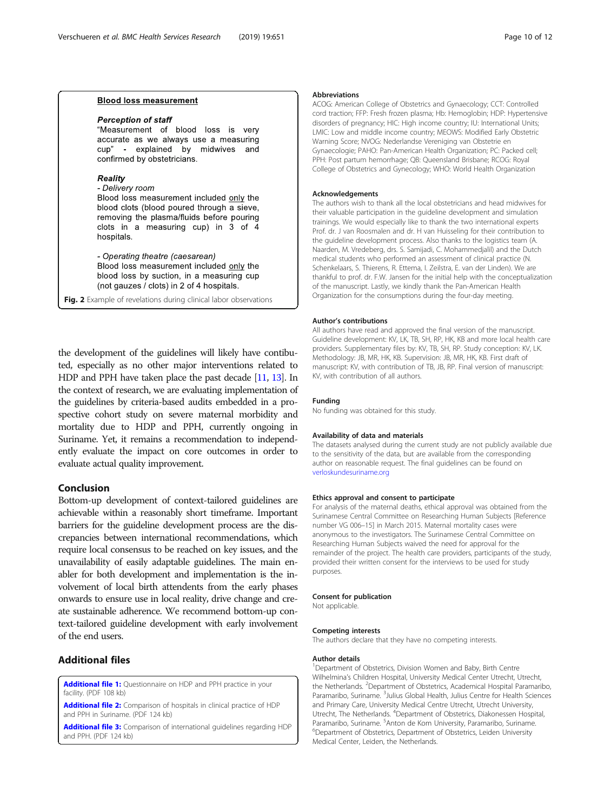# <span id="page-9-0"></span>**Blood loss measurement**

#### **Perception of staff**

"Measurement of blood loss is very accurate as we always use a measuring cup" - explained by midwives and confirmed by obstetricians.

# **Reality**

# - Delivery room

Blood loss measurement included only the blood clots (blood poured through a sieve, removing the plasma/fluids before pouring clots in a measuring cup) in 3 of 4 hospitals.

- Operating theatre (caesarean) Blood loss measurement included only the blood loss by suction, in a measuring cup (not gauzes / clots) in 2 of 4 hospitals.

Fig. 2 Example of revelations during clinical labor observations

the development of the guidelines will likely have contibuted, especially as no other major interventions related to HDP and PPH have taken place the past decade [[11](#page-10-0), [13](#page-10-0)]. In the context of research, we are evaluating implementation of the guidelines by criteria-based audits embedded in a prospective cohort study on severe maternal morbidity and mortality due to HDP and PPH, currently ongoing in Suriname. Yet, it remains a recommendation to independently evaluate the impact on core outcomes in order to evaluate actual quality improvement.

# Conclusion

Bottom-up development of context-tailored guidelines are achievable within a reasonably short timeframe. Important barriers for the guideline development process are the discrepancies between international recommendations, which require local consensus to be reached on key issues, and the unavailability of easily adaptable guidelines. The main enabler for both development and implementation is the involvement of local birth attendents from the early phases onwards to ensure use in local reality, drive change and create sustainable adherence. We recommend bottom-up context-tailored guideline development with early involvement of the end users.

# Additional files

[Additional file 1:](https://doi.org/10.1186/s12913-019-4377-6) Questionnaire on HDP and PPH practice in your facility. (PDF 108 kb)

[Additional file 2:](https://doi.org/10.1186/s12913-019-4377-6) Comparison of hospitals in clinical practice of HDP and PPH in Suriname. (PDF 124 kb)

[Additional file 3:](https://doi.org/10.1186/s12913-019-4377-6) Comparison of international guidelines regarding HDP and PPH. (PDF 124 kb)

#### Abbreviations

ACOG: American College of Obstetrics and Gynaecology; CCT: Controlled cord traction; FFP: Fresh frozen plasma; Hb: Hemoglobin; HDP: Hypertensive disorders of pregnancy; HIC: High income country; IU: International Units; LMIC: Low and middle income country; MEOWS: Modified Early Obstetric Warning Score; NVOG: Nederlandse Vereniging van Obstetrie en Gynaecologie; PAHO: Pan-American Health Organization; PC: Packed cell; PPH: Post partum hemorrhage; QB: Queensland Brisbane; RCOG: Royal College of Obstetrics and Gynecology; WHO: World Health Organization

#### Acknowledgements

The authors wish to thank all the local obstetricians and head midwives for their valuable participation in the guideline development and simulation trainings. We would especially like to thank the two international experts Prof. dr. J van Roosmalen and dr. H van Huisseling for their contribution to the guideline development process. Also thanks to the logistics team (A. Naarden, M. Vredeberg, drs. S. Samijadi, C. Mohammedjalil) and the Dutch medical students who performed an assessment of clinical practice (N. Schenkelaars, S. Thierens, R. Ettema, I. Zeilstra, E. van der Linden). We are thankful to prof. dr. F.W. Jansen for the initial help with the conceptualization of the manuscript. Lastly, we kindly thank the Pan-American Health Organization for the consumptions during the four-day meeting.

#### Author's contributions

All authors have read and approved the final version of the manuscript. Guideline development: KV, LK, TB, SH, RP, HK, KB and more local health care providers. Supplementary files by: KV, TB, SH, RP. Study conception: KV, LK. Methodology: JB, MR, HK, KB. Supervision: JB, MR, HK, KB. First draft of manuscript: KV, with contribution of TB, JB, RP. Final version of manuscript: KV, with contribution of all authors.

#### Funding

No funding was obtained for this study.

#### Availability of data and materials

The datasets analysed during the current study are not publicly available due to the sensitivity of the data, but are available from the corresponding author on reasonable request. The final guidelines can be found on [verloskundesuriname.org](http://verloskundesuriname.org)

#### Ethics approval and consent to participate

For analysis of the maternal deaths, ethical approval was obtained from the Surinamese Central Committee on Researching Human Subjects [Reference number VG 006–15] in March 2015. Maternal mortality cases were anonymous to the investigators. The Surinamese Central Committee on Researching Human Subjects waived the need for approval for the remainder of the project. The health care providers, participants of the study, provided their written consent for the interviews to be used for study purposes.

#### Consent for publication

Not applicable.

#### Competing interests

The authors declare that they have no competing interests.

#### Author details

<sup>1</sup>Department of Obstetrics, Division Women and Baby, Birth Centre Wilhelmina's Children Hospital, University Medical Center Utrecht, Utrecht, the Netherlands. <sup>2</sup>Department of Obstetrics, Academical Hospital Paramaribo, Paramaribo, Suriname. <sup>3</sup> Julius Global Health, Julius Centre for Health Sciences and Primary Care, University Medical Centre Utrecht, Utrecht University, Utrecht, The Netherlands. <sup>4</sup>Department of Obstetrics, Diakonessen Hospital Paramaribo, Suriname. <sup>5</sup> Anton de Kom University, Paramaribo, Suriname.<br><sup>6</sup> Department of Obstatrics, Department of Obstatrics, Leiden University. Department of Obstetrics, Department of Obstetrics, Leiden University Medical Center, Leiden, the Netherlands.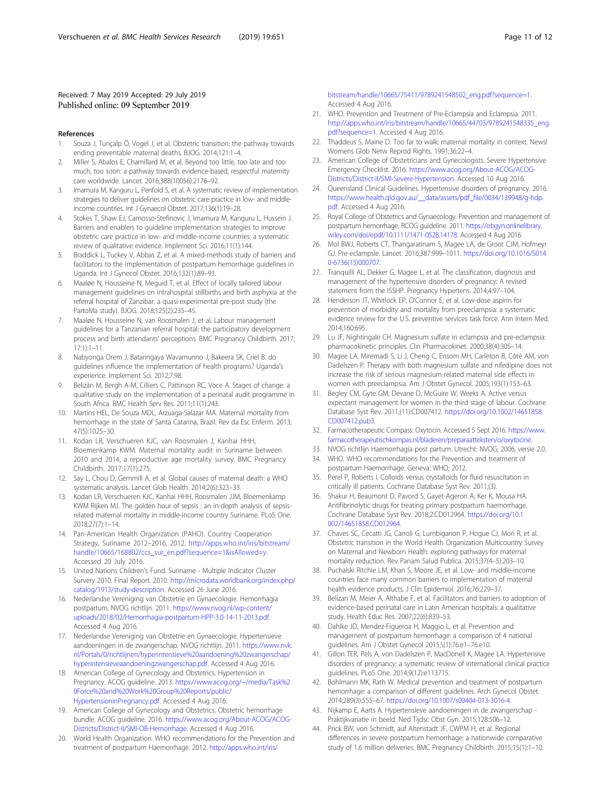# <span id="page-10-0"></span>Received: 7 May 2019 Accepted: 29 July 2019 Published online: 09 September 2019

#### References

- 1. Souza J, Tunçalp Ö, Vogel J, et al. Obstetric transition: the pathway towards ending preventable maternal deaths. BJOG. 2014;121:1–4.
- 2. Miller S, Abalos E, Chamillard M, et al. Beyond too little, too late and too much, too soon: a pathway towards evidence-based, respectful maternity care worldwide. Lancet. 2016;388(10056):2176–92.
- 3. Imamura M, Kanguru L, Penfold S, et al. A systematic review of implementation strategies to deliver guidelines on obstetric care practice in low- and middleincome countries. Int J Gynaecol Obstet. 2017;136(1):19–28.
- 4. Stokes T, Shaw EJ, Camosso-Stefinovic J, Imamura M, Kanguru L, Hussein J. Barriers and enablers to guideline implementation strategies to improve obstetric care practice in low- and middle-income countries: a systematic review of qualitative evidence. Implement Sci. 2016;11(1):144.
- 5. Braddick L, Tuckey V, Abbas Z, et al. A mixed-methods study of barriers and facilitators to the implementation of postpartum hemorrhage guidelines in Uganda. Int J Gynecol Obstet. 2016;132(1):89–93.
- 6. Maaløe N, Housseine N, Meguid T, et al. Effect of locally tailored labour management guidelines on intrahospital stillbirths and birth asphyxia at the referral hospital of Zanzibar: a quasi-experimental pre-post study (the PartoMa study). BJOG. 2018;125(2):235–45.
- 7. Maaløe N, Housseine N, van Roosmalen J, et al. Labour management guidelines for a Tanzanian referral hospital: the participatory development process and birth attendants' perceptions. BMC Pregnancy Childbirth. 2017; 17:1):1–11.
- 8. Nabyonga Orem J. Bataringaya Wavamunno J, Bakeera SK, Criel B. do guidelines influence the implementation of health programs? Uganda's experience. Implement Sci. 2012;7:98.
- 9. Belizán M, Bergh A-M, Cilliers C, Pattinson RC, Voce A. Stages of change: a qualitative study on the implementation of a perinatal audit programme in South Africa. BMC Health Serv Res. 2011;11(1):243.
- 10. Martins HEL, De Souza MDL, Arzuaga-Salazar MA. Maternal mortality from hemorrhage in the state of Santa Catarina, Brazil. Rev da Esc Enferm. 2013; 47(5):1025–30.
- 11. Kodan LR, Verschueren KJC, van Roosmalen J, Kanhai HHH, Bloemenkamp KWM. Maternal mortality audit in Suriname between 2010 and 2014, a reproductive age mortality survey. BMC Pregnancy Childbirth. 2017;17(1):275.
- 12. Say L, Chou D, Gemmill A, et al. Global causes of maternal death: a WHO systematic analysis. Lancet Glob Health. 2014;2(6):323–33.
- 13. Kodan LR, Verschueren KJC, Kanhai HHH, Roosmalen JJM, Bloemenkamp KWM Rijken MJ. The golden hour of sepsis : an in-depth analysis of sepsisrelated maternal mortality in middle-income country Suriname. PLoS One. 2018;27(7):1–14.
- 14. Pan-American Health Organization (PAHO). Country Cooperation Strategy, Suriname 2012–2016, 2012. [http://apps.who.int/iris/bitstream/](http://apps.who.int/iris/bitstream/handle/10665/168802/ccs_sur_en.pdf?sequence=1&isAllowed=y) [handle/10665/168802/ccs\\_sur\\_en.pdf?sequence=1&isAllowed=y.](http://apps.who.int/iris/bitstream/handle/10665/168802/ccs_sur_en.pdf?sequence=1&isAllowed=y) Accessed 20 July 2016.
- 15. United Nations Children's Fund. Suriname Multiple Indicator Cluster Survery 2010. Final Report. 2010. [http://microdata.worldbank.org/index.php/](http://microdata.worldbank.org/index.php/catalog/1913/study-description) [catalog/1913/study-description](http://microdata.worldbank.org/index.php/catalog/1913/study-description). Accessed 26 June 2016.
- 16. Nederlandse Vereniging van Obstetrie en Gynaecologie. Hemorrhagia postpartum. NVOG richtlijn. 2011. [https://www.nvog.nl/wp-content/](https://www.nvog.nl/wp-content/uploads/2018/02/Hemorrhagia-postpartum-HPP-3.0-14-11-2013.pdf) [uploads/2018/02/Hemorrhagia-postpartum-HPP-3.0-14-11-2013.pdf](https://www.nvog.nl/wp-content/uploads/2018/02/Hemorrhagia-postpartum-HPP-3.0-14-11-2013.pdf). Accessed 4 Aug 2016.
- 17. Nederlandse Vereniging van Obstetrie en Gynaecologie. Hypertensieve aandoeningen in de zwangerschap. NVOG richtlijn. 2011. [https://www.nvk.](https://www.nvk.nl/Portals/0/richtlijnen/hyperintensieve%20aandoening%20zwangerschap/hyperintensieveaandoeningzwangerschap.pdf) [nl/Portals/0/richtlijnen/hyperintensieve%20aandoening%20zwangerschap/](https://www.nvk.nl/Portals/0/richtlijnen/hyperintensieve%20aandoening%20zwangerschap/hyperintensieveaandoeningzwangerschap.pdf) [hyperintensieveaandoeningzwangerschap.pdf](https://www.nvk.nl/Portals/0/richtlijnen/hyperintensieve%20aandoening%20zwangerschap/hyperintensieveaandoeningzwangerschap.pdf). Accessed 4 Aug 2016.
- 18. American College of Gynecology and Obstetrics. Hypertension in Pregnancy. ACOG guideline. 2013. [https://www.acog.org/~/media/Task%2](https://www.acog.org/~/media/Task%20Force%20and%20Work%20Group%20Reports/public/HypertensioninPregnancy.pdf) [0Force%20and%20Work%20Group%20Reports/public/](https://www.acog.org/~/media/Task%20Force%20and%20Work%20Group%20Reports/public/HypertensioninPregnancy.pdf) [HypertensioninPregnancy.pdf.](https://www.acog.org/~/media/Task%20Force%20and%20Work%20Group%20Reports/public/HypertensioninPregnancy.pdf) Accessed 4 Aug 2016.
- 19. American College of Gynecology and Obstetrics. Obstetric hemorrhage bundle. ACOG guideline. 2016. [https://www.acog.org/About-ACOG/ACOG-](https://www.acog.org/About-ACOG/ACOG-Districts/District-II/SMI-OB-Hemorrhage)[Districts/District-II/SMI-OB-Hemorrhage](https://www.acog.org/About-ACOG/ACOG-Districts/District-II/SMI-OB-Hemorrhage). Accessed 4 Aug 2016.
- 20. World Health Organization. WHO recommendations for the Prevention and treatment of postpartum Haemorrhage. 2012. [http://apps.who.int/iris/](http://apps.who.int/iris/bitstream/handle/10665/75411/9789241548502_eng.pdf?sequence=1)

[bitstream/handle/10665/75411/9789241548502\\_eng.pdf?sequence=1](http://apps.who.int/iris/bitstream/handle/10665/75411/9789241548502_eng.pdf?sequence=1). Accessed 4 Aug 2016.

- 21. WHO. Prevention and Treatment of Pre-Eclampsia and Eclampsia. 2011. [http://apps.who.int/iris/bitstream/handle/10665/44703/9789241548335\\_eng.](http://apps.who.int/iris/bitstream/handle/10665/44703/9789241548335_eng.pdf?sequence=1) [pdf?sequence=1.](http://apps.who.int/iris/bitstream/handle/10665/44703/9789241548335_eng.pdf?sequence=1) Accessed 4 Aug 2016.
- 22. Thaddeus S, Maine D. Too far to walk: maternal mortality in context. Newsl Womens Glob Netw Reprod Rights. 1991;36:22–4.
- 23. American College of Obstetricians and Gynecologists. Severe Hypertensive Emergency Checklist. 2016. [https://www.acog.org/About-ACOG/ACOG-](https://www.acog.org/About-ACOG/ACOG-Districts/District-II/SMI-Severe-Hypertension)[Districts/District-II/SMI-Severe-Hypertension.](https://www.acog.org/About-ACOG/ACOG-Districts/District-II/SMI-Severe-Hypertension) Accessed 10 Aug 2016.
- 24. Queensland Clinical Guidelines. Hypertensive disorders of pregnancy. 2016. [https://www.health.qld.gov.au/\\_\\_data/assets/pdf\\_file/0034/139948/g-hdp.](https://www.health.qld.gov.au/__data/assets/pdf_file/0034/139948/g-hdp.pdf) [pdf](https://www.health.qld.gov.au/__data/assets/pdf_file/0034/139948/g-hdp.pdf). Accessed 4 Aug 2016.
- 25. Royal College of Obstetrics and Gynaecology. Prevention and management of postpartum hemorrhage. RCOG guideline. 2011. [https://obgyn.onlinelibrary.](https://obgyn.onlinelibrary.wiley.com/doi/epdf/10.1111/1471-0528.14178) [wiley.com/doi/epdf/10.1111/1471-0528.14178.](https://obgyn.onlinelibrary.wiley.com/doi/epdf/10.1111/1471-0528.14178) Accessed 4 Aug 2016.
- 26. Mol BWJ, Roberts CT, Thangaratinam S, Magee LA, de Groot CJM, Hofmeyr GJ. Pre-eclampsie. Lancet. 2016;387:999–1011. [https://doi.org/10.1016/S014](https://doi.org/10.1016/S0140-6736(15)000707) [0-6736\(15\)000707.](https://doi.org/10.1016/S0140-6736(15)000707)
- 27. Tranquilli AL, Dekker G, Magee L, et al. The classification, diagnosis and management of the hypertensive disorders of pregnancy: A revised statement from the ISSHP. Pregnancy Hypertens. 2014;4:97–104.
- 28. Henderson JT, Whitlock EP, O'Connor E, et al. Low-dose aspirin for prevention of morbidity and mortality from preeclampsia: a systematic evidence review for the U.S. preventive services task force. Ann Intern Med. 2014;160:695.
- 29. Lu JF, Nightingale CH. Magnesium sulfate in eclampsia and pre-eclampsia: pharmacokinetic principles. Clin Pharmacokinet. 2000;38(4):305–14.
- 30. Magee LA, Miremadi S, Li J, Cheng C, Ensom MH, Carleton B, Côté AM, von Dadelszen P. Therapy with both magnesium sulfate and nifedipine does not increase the risk of serious magnesium-related maternal side effects in women with preeclampsia. Am J Obstet Gynecol. 2005;193(1):153–63.
- 31. Begley CM, Gyte GM, Devane D, McGuire W, Weeks A. Active versus expectant management for women in the third stage of labour. Cochrane Database Syst Rev. 2011;(11):CD007412. [https://doi.org/10.1002/14651858.](https://doi.org/10.1002/14651858.CD007412.pub3) [CD007412.pub3.](https://doi.org/10.1002/14651858.CD007412.pub3)
- 32. Farmacotherapeutic Compass. Oxytocin. Accessed 5 Sept 2016. [https://www.](https://www.farmacotherapeutischkompas.nl/bladeren/preparaatteksten/o/oxytocine) [farmacotherapeutischkompas.nl/bladeren/preparaatteksten/o/oxytocine.](https://www.farmacotherapeutischkompas.nl/bladeren/preparaatteksten/o/oxytocine)
- 33. NVOG richtlijn Haemorrhagia post partum. Utrecht: NVOG; 2006, versie 2.0.
- 34. WHO. WHO recommendations for the Prevention and treatment of postpartum Haemorrhage. Geneva: WHO; 2012.
- 35. Perel P, Roberts I. Colloids versus crystalloids for fluid resuscitation in critically ill patients. Cochrane Database Syst Rev. 2011;(3).
- 36. Shakur H, Beaumont D, Pavord S, Gayet-Ageron A, Ker K, Mousa HA. Antifibrinolytic drugs for treating primary postpartum haemorrhage. Cochrane Database Syst Rev. 2018;2:CD012964. [https://doi.org/10.1](https://doi.org/10.1002/14651858.CD012964) [002/14651858.CD012964](https://doi.org/10.1002/14651858.CD012964).
- 37. Chaves SC, Cecatti JG, Carroli G, Lumbiganon P, Hogue CJ, Mori R, et al. Obstetric transition in the World Health Organization Multicountry Survey on Maternal and Newborn Health: exploring pathways for maternal mortality reduction. Rev Panam Salud Publica. 2015;37(4–5):203–10.
- 38. Puchalski Ritchie LM, Khan S, Moore JE, et al. Low- and middle-income countries face many common barriers to implementation of maternal health evidence products. J Clin Epidemiol. 2016;76:229–37.
- 39. Belizan M, Meier A, Althabe F, et al. Facilitators and barriers to adoption of evidence-based perinatal care in Latin American hospitals: a qualitative study. Health Educ Res. 2007;22(6):839–53.
- 40. Dahlke JD, Mendez-Figueroa H, Maggio L, et al. Prevention and management of postpartum hemorrhage: a comparison of 4 national guidelines. Am J Obstet Gynecol 2015;\(1):76.e1–76.e10.
- 41. Gillon TER, Pels A, von Dadelszen P, MacDonell K, Magee LA. Hypertensive disorders of pregnancy: a systematic review of international clinical practice guidelines. PLoS One. 2014;9(12):e113715.
- 42. Bohlmann MK, Rath W. Medical prevention and treatment of postpartum hemorrhage: a comparison of different guidelines. Arch Gynecol Obstet. 2014;289(3):555–67. <https://doi.org/10.1007/s00404-013-3016-4>.
- 43. Nijkamp E, Aarts A. Hypertensieve aandoeningen in de zwangerschap Praktijkvariatie in beeld. Ned Tijdsc Obst Gyn. 2015;128:506–12.
- 44. Prick BW, von Schmidt, auf Altenstadt JF, CWPM H, et al. Regional differences in severe postpartum hemorrhage: a nationwide comparative study of 1.6 million deliveries. BMC Pregnancy Childbirth. 2015;15(1):1–10.